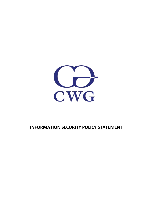

## **INFORMATION SECURITY POLICY STATEMENT**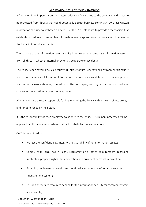## **INFORMATION SECURITY POLICY STATEMENT**

Information is an important business asset, adds significant value to the company and needs to be protected from threats that could potentially disrupt business continuity. CWG has written information security policy based on ISO/IEC 27001:2013 standard to provide a mechanism that establish procedures to protect her information assets against security threats and to minimize the impact of security incidents.

The purpose of this information security policy is to protect the company's information assets from all threats, whether internal or external, deliberate or accidental.

The Policy Scope covers Physical Security, IT Infrastructure Security and Environmental Security which encompasses all forms of Information Security such as data stored on computers, transmitted across networks, printed or written on paper, sent by fax, stored on media or spoken in conversation or over the telephone.

All managers are directly responsible for implementing the Policy within their business areas, and for adherence by their staff.

It is the responsibility of each employee to adhere to the policy. Disciplinary processes will be applicable in those instances where staff fail to abide by this security policy

CWG is committed to:

- Protect the confidentiality, integrity and availability of her information assets;
- Comply with applicable legal, regulatory and other requirements regarding Intellectual property rights, Data protection and privacy of personal information;
- Establish, implement, maintain, and continually improve the information security management system;
- Ensure appropriate resources needed for the information security management system are available;

Document Classification: Public Document No: CWG-ISMS-0501. Ver4.0